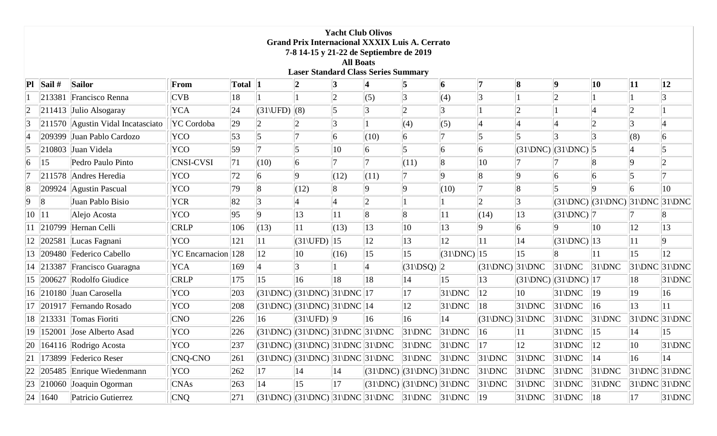|                 | <b>Yacht Club Olivos</b><br><b>Grand Prix Internacional XXXIX Luis A. Cerrato</b><br>7-8 14-15 y 21-22 de Septiembre de 2019<br><b>All Boats</b><br><b>Laser Standard Class Series Summary</b> |                                                       |                        |            |                                   |                                                     |              |                                                                                                     |                                |                  |                  |                  |                                                                    |                                                                       |              |                                   |
|-----------------|------------------------------------------------------------------------------------------------------------------------------------------------------------------------------------------------|-------------------------------------------------------|------------------------|------------|-----------------------------------|-----------------------------------------------------|--------------|-----------------------------------------------------------------------------------------------------|--------------------------------|------------------|------------------|------------------|--------------------------------------------------------------------|-----------------------------------------------------------------------|--------------|-----------------------------------|
|                 | $\left  \mathbf{P} \right  \left  \mathbf{Sail} \right $                                                                                                                                       | <b>Sailor</b>                                         | From                   | Total 1    |                                   |                                                     |              |                                                                                                     | 5                              | 6                |                  | 8                | 9                                                                  | 10                                                                    | 11           | 12                                |
|                 |                                                                                                                                                                                                | 213381 Francisco Renna                                | <b>CVB</b>             | 18         |                                   |                                                     |              | (5)                                                                                                 | 3                              | (4)              |                  |                  |                                                                    |                                                                       |              |                                   |
| $ 2\rangle$     |                                                                                                                                                                                                | $ 211413 $ Julio Alsogaray                            | <b>YCA</b>             | 24         | $(31\backslash \text{UFD})$ $(8)$ |                                                     | 15           |                                                                                                     | $\overline{2}$                 |                  |                  |                  |                                                                    |                                                                       |              |                                   |
| $\vert 3 \vert$ |                                                                                                                                                                                                | $ 211570 $ Agustin Vidal Incatasciato                 | YC Cordoba             | 29         |                                   |                                                     |              |                                                                                                     | (4)                            | (5)              |                  |                  |                                                                    |                                                                       |              |                                   |
| $\vert 4 \vert$ |                                                                                                                                                                                                | 209399 Juan Pablo Cardozo                             | <b>YCO</b>             | $\vert$ 53 |                                   |                                                     | 16           | (10)                                                                                                | 6                              |                  |                  |                  |                                                                    |                                                                       | (8)          | 6                                 |
| 5               |                                                                                                                                                                                                | 210803 Juan Videla                                    | YCO                    | 59         |                                   | 5                                                   | 10           | 6                                                                                                   |                                | 6                | 6                |                  | $\left  (31 \backslash DNC) \right  (31 \backslash DNC) \right  5$ |                                                                       |              |                                   |
| 6               | 15                                                                                                                                                                                             | Pedro Paulo Pinto                                     | <b>CNSI-CVSI</b>       | 71         | (10)                              | 6                                                   |              |                                                                                                     | (11)                           |                  | 10               |                  |                                                                    |                                                                       |              |                                   |
|                 |                                                                                                                                                                                                | 211578 Andres Heredia                                 | YCO                    | 72         |                                   | Q.                                                  | (12)         | (11)                                                                                                |                                |                  |                  |                  |                                                                    |                                                                       |              |                                   |
| 8               |                                                                                                                                                                                                | $ 209924 $ Agustin Pascual                            | YCO                    | 79         |                                   | (12)                                                |              | <b>Q</b>                                                                                            | 9                              | (10)             |                  |                  |                                                                    |                                                                       |              | $ 10\rangle$                      |
| 9               |                                                                                                                                                                                                | Juan Pablo Bisio                                      | <b>YCR</b>             | 82         |                                   |                                                     |              | $\overline{2}$                                                                                      |                                |                  |                  |                  |                                                                    | $(31\text{/DNC)}$ $(31\text{/DNC)}$ $31\text{/DNC}$ $(31\text{/DNC)}$ |              |                                   |
| $ 10\rangle$    | 11                                                                                                                                                                                             | Alejo Acosta                                          | YCO                    | 95         |                                   | 13                                                  |              | $\overline{8}$                                                                                      | $\overline{8}$                 | 11               | (14)             | 13               | $(31)DNC$   7                                                      |                                                                       |              |                                   |
|                 |                                                                                                                                                                                                | $\left\  210799 \right\ $ Hernan Celli                | <b>CRLP</b>            | 106        | (13)                              | 11                                                  | (13)         | $ 13\rangle$                                                                                        | $ 10\rangle$                   | 13               | 9                | 6                | q                                                                  | $ 10\rangle$                                                          | 12           | $ 13\rangle$                      |
|                 |                                                                                                                                                                                                | $ 202581 $ Lucas Fagnani                              | YCO                    | 121        | 11                                | $(31\backslash \text{UFD})$                         | $ 15\rangle$ | 12                                                                                                  | 13                             | 12               | 11               | 14               | $(31)DNC$   13                                                     |                                                                       | 11           | 9                                 |
|                 |                                                                                                                                                                                                | 209480 Federico Cabello                               | $ YC $ Encarnacion 128 |            | $ 12\rangle$                      | $ 10\rangle$                                        | (16)         | 15                                                                                                  | 15                             | $(31)DNC$   15   |                  | 15               | $\overline{8}$                                                     | 11                                                                    | $ 15\rangle$ | $ 12\rangle$                      |
|                 |                                                                                                                                                                                                | $\vert$ 213387   Francisco Guaragna                   | <b>YCA</b>             | 169        |                                   |                                                     |              |                                                                                                     | $(31\angle$ DSQ $)\parallel$ 2 |                  | $(31)DNC$ 31 DNC |                  | $31$ DNC                                                           | $ 31\rangle$ DNC                                                      |              | $ 31\rangle DNC 31\rangle DNC$    |
|                 |                                                                                                                                                                                                | $\vert 200627 \vert$ Rodolfo Giudice                  | <b>CRLP</b>            | 175        | $ 15\rangle$                      | 16                                                  | 18           | 18                                                                                                  | 14                             | 15               | $ 13\rangle$     |                  | $\left  (31 \text{DNC}) \right  (31 \text{DNC}) \left  17 \right $ |                                                                       | 18           | $31$ DNC                          |
|                 |                                                                                                                                                                                                | 16 210180 Juan Carosella                              | YCO                    | 203        |                                   | $ (31\rangle DNC) (31\rangle DNC) 31\rangle DNC 17$ |              |                                                                                                     | 17                             | $ 31\rangle$ DNC | 12               | $ 10\rangle$     | $31$ DNC                                                           | $ 19\rangle$                                                          | 19           | 16                                |
|                 |                                                                                                                                                                                                | $\ 201917\ $ Fernando Rosado                          | YCO                    | 208        |                                   | $(31)DNC$ $(31)DNC$ $31)DNC$ $14$                   |              |                                                                                                     | $ 12\rangle$                   | $31$ DNC         | 18               | $ 31\rangle$ DNC | $31$ DNC                                                           | $ 16\rangle$                                                          | 13           | 11                                |
|                 |                                                                                                                                                                                                | 18 213331 Tomas Fioriti                               | CNO                    | 226        | 16                                | $(31\backslash \text{UFD})$ 9                       |              | $ 16\rangle$                                                                                        | 16                             | 14               | $(31)DNC$ 31 DNC |                  | $31$ DNC                                                           | $ 31\rangle$ DNC                                                      |              | $ 31\rangle$ DNC $ 31\rangle$ DNC |
| 19              |                                                                                                                                                                                                | 152001 Jose Alberto Asad                              | YCO                    | 226        |                                   | $(31)DNC$ $(31)DNC$ $(31)DNC$ $(31)DNC$             |              |                                                                                                     | $31\text{DNC}$                 | $31$ DNC         | 16               | 11               | $31$ DNC                                                           | $ 15\rangle$                                                          | 14           | 15                                |
|                 |                                                                                                                                                                                                | $ 20 $   164116   Rodrigo Acosta                      | YCO                    | 237        |                                   |                                                     |              | $(31\text{/DNC})$ $(31\text{/DNC})$ $31\text{/DNC}$ $31\text{/DNC}$ $31\text{/DNC}$ $31\text{/DNC}$ |                                |                  | $\parallel$ 17   | $ 12\rangle$     | $31$ DNC                                                           | $\parallel$ 12                                                        | 10           | $31$ DNC                          |
|                 |                                                                                                                                                                                                | $\left 21\right $   173899   Federico Reser           | CNQ-CNO                | 261        |                                   |                                                     |              | $(31\text{/DNC})$ $(31\text{/DNC})$ $31\text{/DNC}$ $31\text{/DNC}$ $31\text{/DNC}$ $31\text{/DNC}$ |                                |                  | $ 31\rangle$ DNC | $ 31\rangle$ DNC | $ 31\rangle$ DNC                                                   | 14                                                                    | $ 16\rangle$ | 14                                |
|                 |                                                                                                                                                                                                | $\left 22\right 205485$ Enrique Wiedenmann            | YCO                    | 262        | 17                                | 14                                                  | 14           | $ (31\rangle DNC) (31\rangle DNC) 31\rangle DNC$                                                    |                                |                  | $ 31\rangle$ DNC | $ 31\rangle$ DNC | $ 31\rangle$ DNC                                                   | $ 31\rangle$ DNC                                                      |              | $ 31\rangle DNC 31\rangle DNC $   |
|                 |                                                                                                                                                                                                | $\left 23\right  \left 210060\right $ Joaquin Ogorman | <b>CNAs</b>            | 263        | 14                                | $ 15\rangle$                                        | 17           | $(31)DNC$ $(31)DNC$ $(31)DNC$                                                                       |                                |                  | $ 31\rangle$ DNC | $ 31\rangle$ DNC | $ 31\rangle$ DNC                                                   | $ 31\rangle$ DNC                                                      |              | $ 31\text{DNC} 31\text{DNC} $     |
|                 | 24 1640                                                                                                                                                                                        | Patricio Gutierrez                                    | C N Q                  | 271        |                                   |                                                     |              | $ (31\rangle DNC) (31\rangle DNC) 31\rangle DNC 31\rangle DNC 31\rangle DNC 31\rangle DNC 19$       |                                |                  |                  | $ 31\rangle$ DNC | $ 31\rangle$ DNC                                                   | 18                                                                    | 17           | $ 31\rangle$ DNC $ $              |